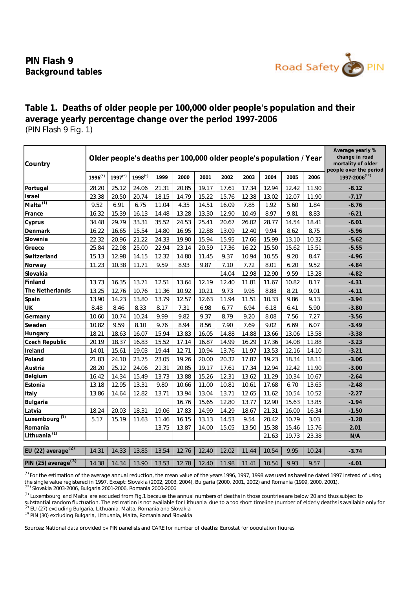**PIN Flash 9 Background tables**



# (PIN Flash 9 Fig. 1) **Table 1. Deaths of older people per 100,000 older people's population and their average yearly percentage change over the period 1997-2006**

| Country                         | Older people's deaths per 100,000 older people's population / Year |                       |                       |       |       |       |       |       |       |       |       | Average yearly %<br>change in road<br>mortality of older<br>people over the period |  |
|---------------------------------|--------------------------------------------------------------------|-----------------------|-----------------------|-------|-------|-------|-------|-------|-------|-------|-------|------------------------------------------------------------------------------------|--|
|                                 | $1996$ <sup>(*)</sup>                                              | $1997$ <sup>(*)</sup> | $1998$ <sup>(*)</sup> | 1999  | 2000  | 2001  | 2002  | 2003  | 2004  | 2005  | 2006  | $1997 - 2006$ <sup>(**)</sup>                                                      |  |
| Portugal                        | 28.20                                                              | 25.12                 | 24.06                 | 21.31 | 20.85 | 19.17 | 17.61 | 17.34 | 12.94 | 12.42 | 11.90 | $-8.12$                                                                            |  |
| Israel                          | 23.38                                                              | 20.50                 | 20.74                 | 18.15 | 14.79 | 15.22 | 15.76 | 12.38 | 13.02 | 12.07 | 11.90 | $-7.17$                                                                            |  |
| $Malta^{(1)}$                   | 9.52                                                               | 6.91                  | 6.75                  | 11.04 | 4.35  | 14.51 | 16.09 | 7.85  | 1.92  | 5.60  | 1.84  | $-6.76$                                                                            |  |
| France                          | 16.32                                                              | 15.39                 | 16.13                 | 14.48 | 13.28 | 13.30 | 12.90 | 10.49 | 8.97  | 9.81  | 8.83  | $-6.21$                                                                            |  |
| Cyprus                          | 34.48                                                              | 29.79                 | 33.31                 | 35.52 | 24.53 | 25.41 | 20.67 | 26.02 | 28.77 | 14.54 | 18.41 | $-6.01$                                                                            |  |
| Denmark                         | 16.22                                                              | 16.65                 | 15.54                 | 14.80 | 16.95 | 12.88 | 13.09 | 12.40 | 9.94  | 8.62  | 8.75  | $-5.96$                                                                            |  |
| Slovenia                        | 22.32                                                              | 20.96                 | 21.22                 | 24.33 | 19.90 | 15.94 | 15.95 | 17.66 | 15.99 | 13.10 | 10.32 | $-5.62$                                                                            |  |
| Greece                          | 25.84                                                              | 22.98                 | 25.00                 | 22.94 | 23.14 | 20.59 | 17.36 | 16.22 | 15.50 | 15.62 | 15.51 | $-5.55$                                                                            |  |
| Switzerland                     | 15.13                                                              | 12.98                 | 14.15                 | 12.32 | 14.80 | 11.45 | 9.37  | 10.94 | 10.55 | 9.20  | 8.47  | $-4.96$                                                                            |  |
| Norway                          | 11.23                                                              | 10.38                 | 11.71                 | 9.59  | 8.93  | 9.87  | 7.10  | 7.72  | 8.01  | 6.20  | 9.52  | $-4.84$                                                                            |  |
| Slovakia                        |                                                                    |                       |                       |       |       |       | 14.04 | 12.98 | 12.90 | 9.59  | 13.28 | $-4.82$                                                                            |  |
| Finland                         | 13.73                                                              | 16.35                 | 13.71                 | 12.51 | 13.64 | 12.19 | 12.40 | 11.81 | 11.67 | 10.82 | 8.17  | $-4.31$                                                                            |  |
| The Netherlands                 | 13.25                                                              | 12.76                 | 10.76                 | 11.36 | 10.92 | 10.21 | 9.73  | 9.95  | 8.88  | 8.21  | 9.01  | $-4.11$                                                                            |  |
| Spain                           | 13.90                                                              | 14.23                 | 13.80                 | 13.79 | 12.57 | 12.63 | 11.94 | 11.51 | 10.33 | 9.86  | 9.13  | $-3.94$                                                                            |  |
| UK                              | 8.48                                                               | 8.46                  | 8.33                  | 8.17  | 7.31  | 6.98  | 6.77  | 6.94  | 6.18  | 6.41  | 5.90  | $-3.80$                                                                            |  |
| Germany                         | 10.60                                                              | 10.74                 | 10.24                 | 9.99  | 9.82  | 9.37  | 8.79  | 9.20  | 8.08  | 7.56  | 7.27  | $-3.56$                                                                            |  |
| Sweden                          | 10.82                                                              | 9.59                  | 8.10                  | 9.76  | 8.94  | 8.56  | 7.90  | 7.69  | 9.02  | 6.69  | 6.07  | $-3.49$                                                                            |  |
| Hungary                         | 18.21                                                              | 18.63                 | 16.07                 | 15.94 | 13.83 | 16.05 | 14.88 | 14.88 | 13.66 | 13.06 | 13.58 | $-3.38$                                                                            |  |
| Czech Republic                  | 20.19                                                              | 18.37                 | 16.83                 | 15.52 | 17.14 | 16.87 | 14.99 | 16.29 | 17.36 | 14.08 | 11.88 | $-3.23$                                                                            |  |
| Ireland                         | 14.01                                                              | 15.61                 | 19.03                 | 19.44 | 12.71 | 10.94 | 13.76 | 11.97 | 13.53 | 12.16 | 14.10 | $-3.21$                                                                            |  |
| Poland                          | 21.83                                                              | 24.10                 | 23.75                 | 23.05 | 19.26 | 20.00 | 20.32 | 17.87 | 19.23 | 18.34 | 18.11 | $-3.06$                                                                            |  |
| Austria                         | 28.20                                                              | 25.12                 | 24.06                 | 21.31 | 20.85 | 19.17 | 17.61 | 17.34 | 12.94 | 12.42 | 11.90 | $-3.00$                                                                            |  |
| Belgium                         | 16.42                                                              | 14.34                 | 15.49                 | 13.73 | 13.88 | 15.26 | 12.31 | 13.62 | 11.29 | 10.34 | 10.67 | $-2.64$                                                                            |  |
| Estonia                         | 13.18                                                              | 12.95                 | 13.31                 | 9.80  | 10.66 | 11.00 | 10.81 | 10.61 | 17.68 | 6.70  | 13.65 | $-2.48$                                                                            |  |
| Italy                           | 13.86                                                              | 14.64                 | 12.82                 | 13.71 | 13.94 | 13.04 | 13.71 | 12.65 | 11.62 | 10.54 | 10.52 | $-2.27$                                                                            |  |
| Bulgaria                        |                                                                    |                       |                       |       | 16.76 | 15.65 | 12.80 | 13.77 | 12.90 | 15.63 | 13.85 | $-1.94$                                                                            |  |
| Latvia                          | 18.24                                                              | 20.03                 | 18.31                 | 19.06 | 17.83 | 14.99 | 14.29 | 18.67 | 21.31 | 16.00 | 16.34 | $-1.50$                                                                            |  |
| Luxembourg <sup>(1)</sup>       | 5.17                                                               | 15.19                 | 11.63                 | 11.46 | 16.15 | 13.13 | 14.53 | 9.54  | 20.42 | 10.79 | 3.03  | $-1.28$                                                                            |  |
| Romania                         |                                                                    |                       |                       | 13.75 | 13.87 | 14.00 | 15.05 | 13.50 | 15.38 | 15.46 | 15.76 | 2.01                                                                               |  |
| Lithuania <sup>(1)</sup>        |                                                                    |                       |                       |       |       |       |       |       | 21.63 | 19.73 | 23.38 | N/A                                                                                |  |
|                                 |                                                                    |                       |                       |       |       |       |       |       |       |       |       |                                                                                    |  |
| EU (22) average <sup>(2)</sup>  | 14.31                                                              | 14.33                 | 13.85                 | 13.54 | 12.76 | 12.40 | 12.02 | 11.44 | 10.54 | 9.95  | 10.24 | $-3.74$                                                                            |  |
| PIN (25) average <sup>(3)</sup> | 14.38                                                              | 14.34                 | 13.90                 | 13.53 | 12.78 | 12.40 | 11.98 | 11.41 | 10.54 | 9.93  | 9.57  | $-4.01$                                                                            |  |

(\*) For the estimation of the average annual reduction, the mean value of the years 1996, 1997, 1998 was used as baseline dated 1997 instead of using the single value registered in 1997. Except: Slovakia (2002, 2003, 2004), Bulgaria (2000, 2001, 2002) and Romania (1999, 2000, 2001).<br><sup>(\*\*)</sup> Slovakia 2003-2006, Bulgaria 2001-2006, Romania 2000-2006

(1) *Luxembourg* and *Malta* are excluded from Fig.1 because the annual numbers of deaths in those countries are below 20 and thus subject to

(2) EU (27) excluding Bulgaria, Lithuania, Malta, Romania and Slovakia substantial random fluctuation. The estimation is not available for *Lithuania* due to a too short timeline (number of elderly deaths is available only for

(3) PIN (30) excluding Bulgaria, Lithuania, Malta, Romania and Slovakia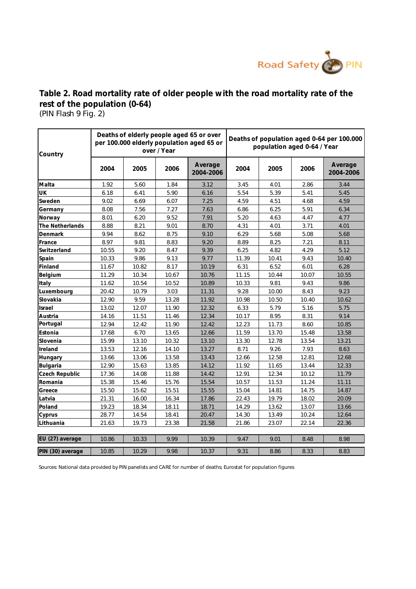

(PIN Flash 9 Fig. 2) **Table 2. Road mortality rate of older people with the road mortality rate of the rest of the population (0-64)**

| Country          |       |       | over / Year | Deaths of elderly people aged 65 or over<br>per 100.000 elderly population aged 65 or | Deaths of population aged 0-64 per 100.000<br>population aged 0-64 / Year |       |       |                      |  |
|------------------|-------|-------|-------------|---------------------------------------------------------------------------------------|---------------------------------------------------------------------------|-------|-------|----------------------|--|
|                  | 2004  | 2005  | 2006        | Average<br>2004-2006                                                                  | 2004                                                                      | 2005  | 2006  | Average<br>2004-2006 |  |
| Malta            | 1.92  | 5.60  | 1.84        | 3.12                                                                                  | 3.45                                                                      | 4.01  | 2.86  | 3.44                 |  |
| UK               | 6.18  | 6.41  | 5.90        | 6.16                                                                                  | 5.54                                                                      | 5.39  | 5.41  | 5.45                 |  |
| Sweden           | 9.02  | 6.69  | 6.07        | 7.25                                                                                  | 4.59                                                                      | 4.51  | 4.68  | 4.59                 |  |
| Germany          | 8.08  | 7.56  | 7.27        | 7.63                                                                                  | 6.86                                                                      | 6.25  | 5.91  | 6.34                 |  |
| Norway           | 8.01  | 6.20  | 9.52        | 7.91                                                                                  | 5.20                                                                      | 4.63  | 4.47  | 4.77                 |  |
| The Netherlands  | 8.88  | 8.21  | 9.01        | 8.70                                                                                  | 4.31                                                                      | 4.01  | 3.71  | 4.01                 |  |
| Denmark          | 9.94  | 8.62  | 8.75        | 9.10                                                                                  | 6.29                                                                      | 5.68  | 5.08  | 5.68                 |  |
| France           | 8.97  | 9.81  | 8.83        | 9.20                                                                                  | 8.89                                                                      | 8.25  | 7.21  | 8.11                 |  |
| Switzerland      | 10.55 | 9.20  | 8.47        | 9.39                                                                                  | 6.25                                                                      | 4.82  | 4.29  | 5.12                 |  |
| Spain            | 10.33 | 9.86  | 9.13        | 9.77                                                                                  | 11.39                                                                     | 10.41 | 9.43  | 10.40                |  |
| Finland          | 11.67 | 10.82 | 8.17        | 10.19                                                                                 | 6.31                                                                      | 6.52  | 6.01  | 6.28                 |  |
| Belgium          | 11.29 | 10.34 | 10.67       | 10.76                                                                                 | 11.15                                                                     | 10.44 | 10.07 | 10.55                |  |
| Italy            | 11.62 | 10.54 | 10.52       | 10.89                                                                                 | 10.33                                                                     | 9.81  | 9.43  | 9.86                 |  |
| Luxembourg       | 20.42 | 10.79 | 3.03        | 11.31                                                                                 | 9.28                                                                      | 10.00 | 8.43  | 9.23                 |  |
| Slovakia         | 12.90 | 9.59  | 13.28       | 11.92                                                                                 | 10.98                                                                     | 10.50 | 10.40 | 10.62                |  |
| Israel           | 13.02 | 12.07 | 11.90       | 12.32                                                                                 | 6.33                                                                      | 5.79  | 5.16  | 5.75                 |  |
| Austria          | 14.16 | 11.51 | 11.46       | 12.34                                                                                 | 10.17                                                                     | 8.95  | 8.31  | 9.14                 |  |
| Portugal         | 12.94 | 12.42 | 11.90       | 12.42                                                                                 | 12.23                                                                     | 11.73 | 8.60  | 10.85                |  |
| Estonia          | 17.68 | 6.70  | 13.65       | 12.66                                                                                 | 11.59                                                                     | 13.70 | 15.48 | 13.58                |  |
| Slovenia         | 15.99 | 13.10 | 10.32       | 13.10                                                                                 | 13.30                                                                     | 12.78 | 13.54 | 13.21                |  |
| Ireland          | 13.53 | 12.16 | 14.10       | 13.27                                                                                 | 8.71                                                                      | 9.26  | 7.93  | 8.63                 |  |
| Hungary          | 13.66 | 13.06 | 13.58       | 13.43                                                                                 | 12.66                                                                     | 12.58 | 12.81 | 12.68                |  |
| Bulgaria         | 12.90 | 15.63 | 13.85       | 14.12                                                                                 | 11.92                                                                     | 11.65 | 13.44 | 12.33                |  |
| Czech Republic   | 17.36 | 14.08 | 11.88       | 14.42                                                                                 | 12.91                                                                     | 12.34 | 10.12 | 11.79                |  |
| Romania          | 15.38 | 15.46 | 15.76       | 15.54                                                                                 | 10.57                                                                     | 11.53 | 11.24 | 11.11                |  |
| Greece           | 15.50 | 15.62 | 15.51       | 15.55                                                                                 | 15.04                                                                     | 14.81 | 14.75 | 14.87                |  |
| Latvia           | 21.31 | 16.00 | 16.34       | 17.86                                                                                 | 22.43                                                                     | 19.79 | 18.02 | 20.09                |  |
| Poland           | 19.23 | 18.34 | 18.11       | 18.71                                                                                 | 14.29                                                                     | 13.62 | 13.07 | 13.66                |  |
| Cyprus           | 28.77 | 14.54 | 18.41       | 20.47                                                                                 | 14.30                                                                     | 13.49 | 10.24 | 12.64                |  |
| Lithuania        | 21.63 | 19.73 | 23.38       | 21.58                                                                                 | 21.86                                                                     | 23.07 | 22.14 | 22.36                |  |
|                  |       |       |             |                                                                                       |                                                                           |       |       |                      |  |
| EU (27) average  | 10.86 | 10.33 | 9.99        | 10.39                                                                                 | 9.47                                                                      | 9.01  | 8.48  | 8.98                 |  |
| PIN (30) average | 10.85 | 10.29 | 9.98        | 10.37                                                                                 | 9.31                                                                      | 8.86  | 8.33  | 8.83                 |  |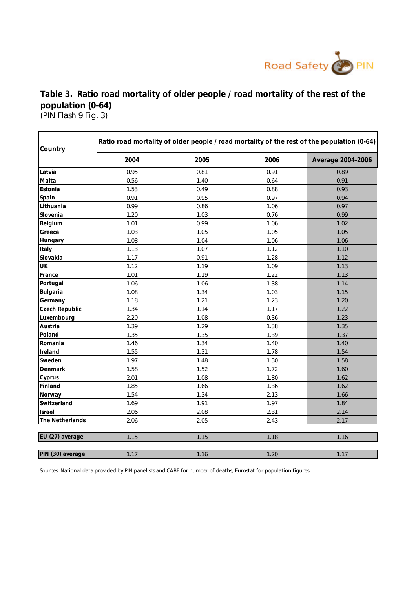

(PIN Flash 9 Fig. 3) **Table 3. Ratio road mortality of older people / road mortality of the rest of the population (0-64)**

| Country          | Ratio road mortality of older people / road mortality of the rest of the population (0-64) |      |      |                   |  |  |  |  |  |
|------------------|--------------------------------------------------------------------------------------------|------|------|-------------------|--|--|--|--|--|
|                  | 2004                                                                                       | 2005 | 2006 | Average 2004-2006 |  |  |  |  |  |
| Latvia           | 0.95                                                                                       | 0.81 | 0.91 | 0.89              |  |  |  |  |  |
| Malta            | 0.56                                                                                       | 1.40 | 0.64 | 0.91              |  |  |  |  |  |
| Estonia          | 1.53                                                                                       | 0.49 | 0.88 | 0.93              |  |  |  |  |  |
| Spain            | 0.91                                                                                       | 0.95 | 0.97 | 0.94              |  |  |  |  |  |
| Lithuania        | 0.99                                                                                       | 0.86 | 1.06 | 0.97              |  |  |  |  |  |
| Slovenia         | 1.20                                                                                       | 1.03 | 0.76 | 0.99              |  |  |  |  |  |
| Belgium          | 1.01                                                                                       | 0.99 | 1.06 | 1.02              |  |  |  |  |  |
| Greece           | 1.03                                                                                       | 1.05 | 1.05 | 1.05              |  |  |  |  |  |
| Hungary          | 1.08                                                                                       | 1.04 | 1.06 | 1.06              |  |  |  |  |  |
| Italy            | 1.13                                                                                       | 1.07 | 1.12 | 1.10              |  |  |  |  |  |
| Slovakia         | 1.17                                                                                       | 0.91 | 1.28 | 1.12              |  |  |  |  |  |
| UK               | 1.12                                                                                       | 1.19 | 1.09 | 1.13              |  |  |  |  |  |
| France           | 1.01                                                                                       | 1.19 | 1.22 | 1.13              |  |  |  |  |  |
| Portugal         | 1.06                                                                                       | 1.06 | 1.38 | 1.14              |  |  |  |  |  |
| Bulgaria         | 1.08                                                                                       | 1.34 | 1.03 | 1.15              |  |  |  |  |  |
| Germany          | 1.18                                                                                       | 1.21 | 1.23 | 1.20              |  |  |  |  |  |
| Czech Republic   | 1.34                                                                                       | 1.14 | 1.17 | 1.22              |  |  |  |  |  |
| Luxembourg       | 2.20                                                                                       | 1.08 | 0.36 | 1.23              |  |  |  |  |  |
| Austria          | 1.39                                                                                       | 1.29 | 1.38 | 1.35              |  |  |  |  |  |
| Poland           | 1.35                                                                                       | 1.35 | 1.39 | 1.37              |  |  |  |  |  |
| Romania          | 1.46                                                                                       | 1.34 | 1.40 | 1.40              |  |  |  |  |  |
| Ireland          | 1.55                                                                                       | 1.31 | 1.78 | 1.54              |  |  |  |  |  |
| Sweden           | 1.97                                                                                       | 1.48 | 1.30 | 1.58              |  |  |  |  |  |
| Denmark          | 1.58                                                                                       | 1.52 | 1.72 | 1.60              |  |  |  |  |  |
| Cyprus           | 2.01                                                                                       | 1.08 | 1.80 | 1.62              |  |  |  |  |  |
| Finland          | 1.85                                                                                       | 1.66 | 1.36 | 1.62              |  |  |  |  |  |
| Norway           | 1.54                                                                                       | 1.34 | 2.13 | 1.66              |  |  |  |  |  |
| Switzerland      | 1.69                                                                                       | 1.91 | 1.97 | 1.84              |  |  |  |  |  |
| Israel           | 2.06                                                                                       | 2.08 | 2.31 | 2.14              |  |  |  |  |  |
| The Netherlands  | 2.06                                                                                       | 2.05 | 2.43 | 2.17              |  |  |  |  |  |
| EU (27) average  | 1.15                                                                                       | 1.15 | 1.18 | 1.16              |  |  |  |  |  |
| PIN (30) average | 1.17                                                                                       | 1.16 | 1.20 | 1.17              |  |  |  |  |  |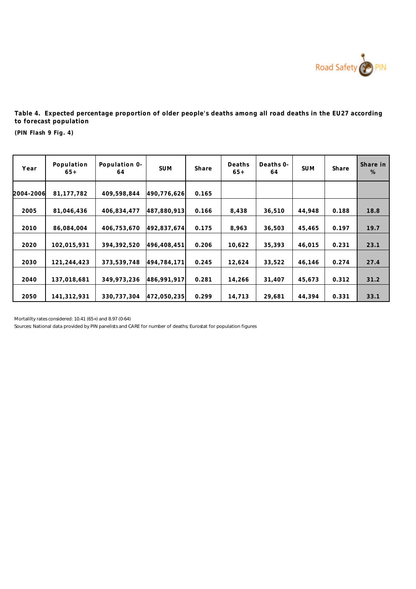

**Table 4. Expected percentage proportion of older people's deaths among all road deaths in the EU27 according to forecast population**

**(PIN Flash 9 Fig. 4)**

| Year      | Population<br>$65+$ | Population 0-<br>64 | <b>SUM</b>  | Share | Deaths<br>$65+$ | Deaths 0-<br>64 | <b>SUM</b> | Share | Share in<br>% |
|-----------|---------------------|---------------------|-------------|-------|-----------------|-----------------|------------|-------|---------------|
| 2004-2006 | 81, 177, 782        | 409.598.844         | 490,776,626 | 0.165 |                 |                 |            |       |               |
| 2005      | 81,046,436          | 406,834,477         | 487,880,913 | 0.166 | 8,438           | 36,510          | 44,948     | 0.188 | 18.8          |
| 2010      | 86.084.004          | 406,753,670         | 492.837.674 | 0.175 | 8,963           | 36.503          | 45.465     | 0.197 | 19.7          |
| 2020      | 102.015.931         | 394.392.520         | 496.408.451 | 0.206 | 10.622          | 35.393          | 46.015     | 0.231 | 23.1          |
| 2030      | 121,244,423         | 373,539,748         | 494,784,171 | 0.245 | 12,624          | 33,522          | 46,146     | 0.274 | 27.4          |
| 2040      | 137,018,681         | 349,973,236         | 486.991.917 | 0.281 | 14,266          | 31,407          | 45,673     | 0.312 | 31.2          |
| 2050      | 141,312,931         | 330,737,304         | 472,050,235 | 0.299 | 14,713          | 29,681          | 44,394     | 0.331 | 33.1          |

Mortalilty rates considered: 10.41 (65+) and 8.97 (0-64)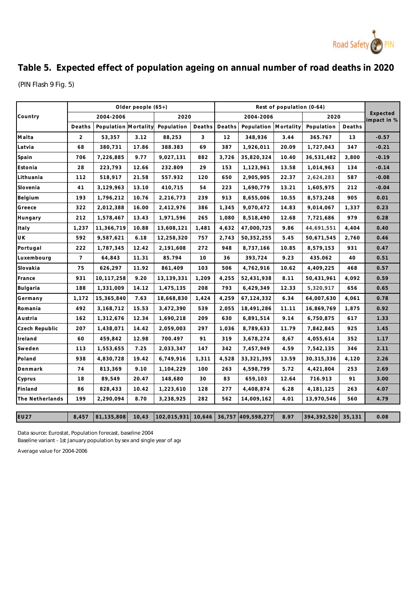

(PIN Flash 9 Fig. 5) **Table 5. Expected effect of population ageing on annual number of road deaths in 2020** 

|                 | Older people $(65+)$ |                      |       |                                       |        |        | Rest of population (0-64) |       |                                 |        |             |  |
|-----------------|----------------------|----------------------|-------|---------------------------------------|--------|--------|---------------------------|-------|---------------------------------|--------|-------------|--|
| Country         |                      | 2004-2006            |       | 2020                                  |        |        | 2004-2006                 |       |                                 | 2020   |             |  |
|                 | Deaths               | Population Mortality |       | Population                            | Deaths | Deaths |                           |       | Population Mortality Population | Deaths | impact in % |  |
| Malta           | 2                    | 53,357               | 3.12  | 88,253                                | 3      | 12     | 348,936                   | 3.44  | 365.767                         | 13     | $-0.57$     |  |
| Latvia          | 68                   | 380,731              | 17.86 | 388.383                               | 69     | 387    | 1,926,011                 | 20.09 | 1,727,043                       | 347    | $-0.21$     |  |
| Spain           | 706                  | 7,226,885            | 9.77  | 9,027,131                             | 882    | 3,726  | 35,820,324                | 10.40 | 36,531,482                      | 3,800  | $-0.19$     |  |
| Estonia         | 28                   | 223,793              | 12.66 | 232.809                               | 29     | 153    | 1,123,961                 | 13.58 | 1,014,963                       | 134    | $-0.14$     |  |
| Lithuania       | 112                  | 518,917              | 21.58 | 557.932                               | 120    | 650    | 2,905,905                 | 22.37 | 2,624,283                       | 587    | $-0.08$     |  |
| Slovenia        | 41                   | 3,129,963            | 13.10 | 410,715                               | 54     | 223    | 1,690,779                 | 13.21 | 1,605,975                       | 212    | $-0.04$     |  |
| Belgium         | 193                  | 1,796,212            | 10.76 | 2,216,773                             | 239    | 913    | 8,655,006                 | 10.55 | 8,573,248                       | 905    | 0.01        |  |
| Greece          | 322                  | 2,012,388            | 16.00 | 2,412,976                             | 386    | 1,345  | 9,070,472                 | 14.83 | 9,014,067                       | 1,337  | 0.23        |  |
| Hungary         | 212                  | 1,578,467            | 13.43 | 1,971,596                             | 265    | 1,080  | 8,518,490                 | 12.68 | 7,721,686                       | 979    | 0.28        |  |
| Italy           | 1,237                | 11,366,719           | 10.88 | 13,608,121                            | 1,481  | 4,632  | 47,000,725                | 9.86  | 44,691,551                      | 4,404  | 0.40        |  |
| <b>UK</b>       | 592                  | 9,587,621            | 6.18  | 12,258,320                            | 757    | 2,743  | 50,352,255                | 5.45  | 50,671,545                      | 2,760  | 0.46        |  |
| Portugal        | 222                  | 1,787,345            | 12.42 | 2,191,608                             | 272    | 948    | 8,737,166                 | 10.85 | 8,579,153                       | 931    | 0.47        |  |
| Luxembourg      | $7\overline{ }$      | 64,843               | 11.31 | 85.794                                | 10     | 36     | 393,724                   | 9.23  | 435.062                         | 40     | 0.51        |  |
| Slovakia        | 75                   | 626,297              | 11.92 | 861,409                               | 103    | 506    | 4,762,916                 | 10.62 | 4,409,225                       | 468    | 0.57        |  |
| France          | 931                  | 10,117,258           | 9.20  | 13,139,331                            | 1,209  | 4,255  | 52,431,938                | 8.11  | 50,431,961                      | 4,092  | 0.59        |  |
| Bulgaria        | 188                  | 1,331,009            | 14.12 | 1,475,135                             | 208    | 793    | 6,429,349                 | 12.33 | 5,320,917                       | 656    | 0.65        |  |
| Germany         | 1,172                | 15,365,840           | 7.63  | 18,668,830                            | 1,424  | 4,259  | 67,124,332                | 6.34  | 64,007,630                      | 4,061  | 0.78        |  |
| Romania         | 492                  | 3,168,712            | 15.53 | 3,472,390                             | 539    | 2,055  | 18,491,286                | 11.11 | 16,869,769                      | 1,875  | 0.92        |  |
| Austria         | 162                  | 1,312,676            | 12.34 | 1,690,218                             | 209    | 630    | 6,891,514                 | 9.14  | 6,750,875                       | 617    | 1.33        |  |
| Czech Republic  | 207                  | 1,438,071            | 14.42 | 2,059,003                             | 297    | 1,036  | 8,789,633                 | 11.79 | 7,842,845                       | 925    | 1.45        |  |
| Ireland         | 60                   | 459,842              | 12.98 | 700.497                               | 91     | 319    | 3,678,274                 | 8,67  | 4,055,614                       | 352    | 1.17        |  |
| Sweden          | 113                  | 1,553,655            | 7.25  | 2,033,347                             | 147    | 342    | 7,457,949                 | 4.59  | 7,542,135                       | 346    | 2.11        |  |
| Poland          | 938                  | 4,830,728            | 19.42 | 6,749,916                             | 1,311  | 4,528  | 33, 321, 395              | 13.59 | 30, 315, 336                    | 4,120  | 2.26        |  |
| Denmark         | 74                   | 813,369              | 9.10  | 1,104,229                             | 100    | 263    | 4,598,799                 | 5.72  | 4,421,804                       | 253    | 2.69        |  |
| Cyprus          | 18                   | 89,549               | 20.47 | 148,680                               | 30     | 83     | 659,103                   | 12.64 | 716.913                         | 91     | 3.00        |  |
| Finland         | 86                   | 828,433              | 10.42 | 1,223,610                             | 128    | 277    | 4,408,874                 | 6.28  | 4,181,125                       | 263    | 4.07        |  |
| The Netherlands | 199                  | 2,290,094            | 8.70  | 3,238,925                             | 282    | 562    | 14,009,162                | 4.01  | 13,970,546                      | 560    | 4.79        |  |
| EU27            | 8,457                | 81,135,808           | 10,43 | 102,015,931 10,646 36,757 409,598,277 |        |        |                           | 8.97  | 394,392,520                     | 35,131 | 0.08        |  |
|                 |                      |                      |       |                                       |        |        |                           |       |                                 |        |             |  |

Data source: Eurostat, Population forecast, baseline 2004

Baseline variant - 1st January population by sex and single year of age

Average value for 2004-2006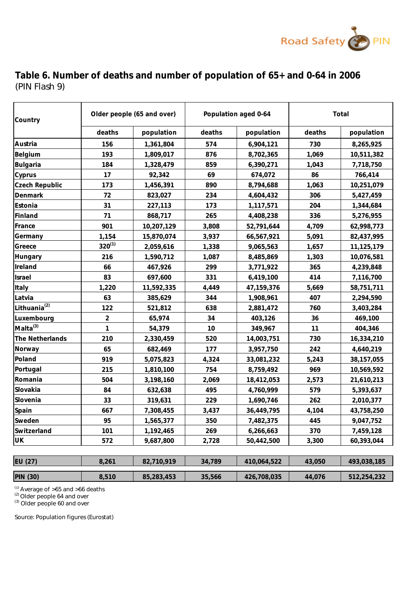

(PIN Flash 9) **Table 6. Number of deaths and number of population of 65+ and 0-64 in 2006**

| Country                  |                | Older people (65 and over) |        | Population aged 0-64 | Total  |             |  |
|--------------------------|----------------|----------------------------|--------|----------------------|--------|-------------|--|
|                          | deaths         | population                 | deaths | population           | deaths | population  |  |
| Austria                  | 156            | 1,361,804                  | 574    | 6,904,121            | 730    | 8,265,925   |  |
| Belgium                  | 193            | 1,809,017                  | 876    | 8,702,365            | 1,069  | 10,511,382  |  |
| Bulgaria                 | 184            | 1,328,479                  | 859    | 6,390,271            | 1,043  | 7,718,750   |  |
| Cyprus                   | 17             | 92,342                     | 69     | 674,072              | 86     | 766,414     |  |
| Czech Republic           | 173            | 1,456,391                  | 890    | 8,794,688            | 1,063  | 10,251,079  |  |
| Denmark                  | 72             | 823,027                    | 234    | 4,604,432            | 306    | 5,427,459   |  |
| Estonia                  | 31             | 227,113                    | 173    | 1,117,571            | 204    | 1,344,684   |  |
| Finland                  | 71             | 868,717                    | 265    | 4,408,238            | 336    | 5,276,955   |  |
| France                   | 901            | 10,207,129                 | 3,808  | 52,791,644           | 4,709  | 62,998,773  |  |
| Germany                  | 1,154          | 15,870,074                 | 3,937  | 66,567,921           | 5,091  | 82,437,995  |  |
| Greece                   | $320^{(1)}$    | 2,059,616                  | 1,338  | 9,065,563            | 1,657  | 11,125,179  |  |
| Hungary                  | 216            | 1,590,712                  | 1,087  | 8,485,869            | 1,303  | 10,076,581  |  |
| Ireland                  | 66             | 467,926                    | 299    | 3,771,922            | 365    | 4,239,848   |  |
| Israel                   | 83             | 697,600                    | 331    | 6,419,100            | 414    | 7,116,700   |  |
| Italy                    | 1,220          | 11,592,335                 | 4,449  | 47,159,376           | 5,669  | 58,751,711  |  |
| Latvia                   | 63             | 385,629                    | 344    | 1,908,961            | 407    | 2,294,590   |  |
| Lithuania <sup>(2)</sup> | 122            | 521,812                    | 638    | 2,881,472            | 760    | 3,403,284   |  |
| Luxembourg               | $\overline{2}$ | 65,974                     | 34     | 403,126              | 36     | 469,100     |  |
| Malta <sup>(3)</sup>     | 1              | 54,379                     | 10     | 349,967              | 11     | 404,346     |  |
| The Netherlands          | 210            | 2,330,459                  | 520    | 14,003,751           | 730    | 16,334,210  |  |
| Norway                   | 65             | 682,469                    | 177    | 3,957,750            | 242    | 4,640,219   |  |
| Poland                   | 919            | 5,075,823                  | 4,324  | 33,081,232           | 5,243  | 38,157,055  |  |
| Portugal                 | 215            | 1,810,100                  | 754    | 8,759,492            | 969    | 10,569,592  |  |
| Romania                  | 504            | 3,198,160                  | 2,069  | 18,412,053           | 2,573  | 21,610,213  |  |
| Slovakia                 | 84             | 632,638                    | 495    | 4,760,999            | 579    | 5,393,637   |  |
| Slovenia                 | 33             | 319,631                    | 229    | 1,690,746            | 262    | 2,010,377   |  |
| Spain                    | 667            | 7,308,455                  | 3,437  | 36,449,795           | 4,104  | 43,758,250  |  |
| Sweden                   | 95             | 1,565,377                  | 350    | 7,482,375            | 445    | 9,047,752   |  |
| Switzerland              | 101            | 1,192,465                  | 269    | 6,266,663            | 370    | 7,459,128   |  |
| UK                       | 572            | 9,687,800                  | 2,728  | 50,442,500           | 3,300  | 60,393,044  |  |
| EU (27)                  | 8,261          | 82,710,919                 | 34,789 | 410,064,522          | 43,050 | 493,038,185 |  |

**PIN (30) 8,510 85,283,453 35,566 426,708,035 44,076 512,254,232**  $^{(1)}$  Average of >65 and >66 deaths

<sup>(2)</sup> Older people 64 and over

(3) Older people 60 and over

Source: Population figures (Eurostat)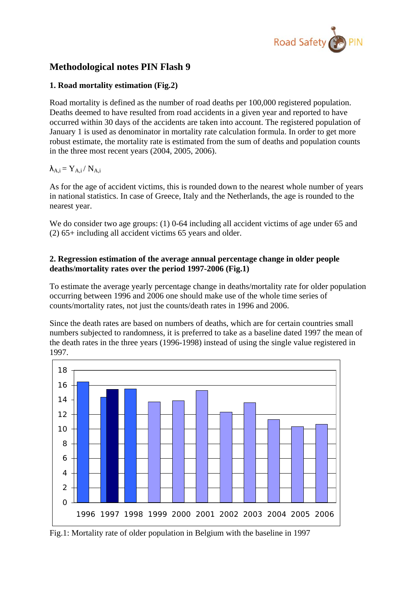

## **Methodological notes PIN Flash 9**

## **1. Road mortality estimation (Fig.2)**

Road mortality is defined as the number of road deaths per 100,000 registered population. Deaths deemed to have resulted from road accidents in a given year and reported to have occurred within 30 days of the accidents are taken into account. The registered population of January 1 is used as denominator in mortality rate calculation formula. In order to get more robust estimate, the mortality rate is estimated from the sum of deaths and population counts in the three most recent years (2004, 2005, 2006).

## $\lambda_{A,i} = Y_{A,i} / N_{A,i}$

As for the age of accident victims, this is rounded down to the nearest whole number of years in national statistics. In case of Greece, Italy and the Netherlands, the age is rounded to the nearest year.

We do consider two age groups: (1) 0-64 including all accident victims of age under 65 and (2) 65+ including all accident victims 65 years and older.

### **2. Regression estimation of the average annual percentage change in older people deaths/mortality rates over the period 1997-2006 (Fig.1)**

To estimate the average yearly percentage change in deaths/mortality rate for older population occurring between 1996 and 2006 one should make use of the whole time series of counts/mortality rates, not just the counts/death rates in 1996 and 2006.

Since the death rates are based on numbers of deaths, which are for certain countries small numbers subjected to randomness, it is preferred to take as a baseline dated 1997 the mean of the death rates in the three years (1996-1998) instead of using the single value registered in 1997.



Fig.1: Mortality rate of older population in Belgium with the baseline in 1997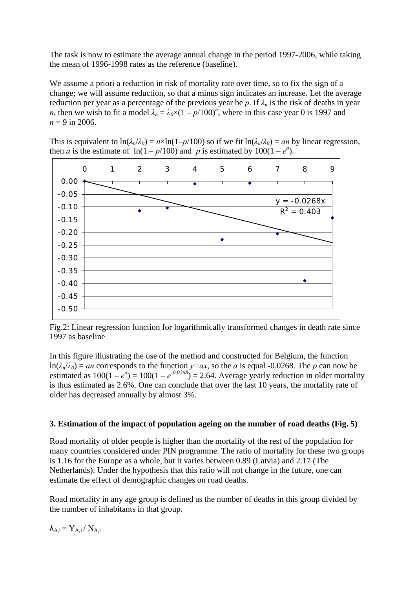The task is now to estimate the average annual change in the period 1997-2006, while taking the mean of 1996-1998 rates as the reference (baseline).

We assume a priori a reduction in risk of mortality rate over time, so to fix the sign of a change; we will assume reduction, so that a minus sign indicates an increase. Let the average reduction per year as a percentage of the previous year be p. If  $\lambda_n$  is the risk of deaths in year *n*, then we wish to fit a model  $\lambda_n = \lambda_0 \times (1 - p/100)^n$ , where in this case year 0 is 1997 and  $n = 9$  in 2006.

This is equivalent to  $\ln(\lambda_n/\lambda_0) = n \times \ln(1-p/100)$  so if we fit  $\ln(\lambda_n/\lambda_0) = an$  by linear regression, then *a* is the estimate of  $\ln(1 - p/100)$  and *p* is estimated by  $100(1 - e^a)$ .



Fig.2: Linear regression function for logarithmically transformed changes in death rate since 1997 as baseline

In this figure illustrating the use of the method and constructed for Belgium, the function  $ln(\lambda_n/\lambda_0) = an$  corresponds to the function  $y = ax$ , so the *a* is equal -0.0268. The *p* can now be estimated as  $100(1 - e^a) = 100(1 - e^{-0.0268}) = 2.64$ . Average yearly reduction in older mortality is thus estimated as 2.6%. One can conclude that over the last 10 years, the mortality rate of older has decreased annually by almost 3%.

#### **3. Estimation of the impact of population ageing on the number of road deaths (Fig. 5)**

Road mortality of older people is higher than the mortality of the rest of the population for many countries considered under PIN programme. The ratio of mortality for these two groups is 1.16 for the Europe as a whole, but it varies between 0.89 (Latvia) and 2.17 (The Netherlands). Under the hypothesis that this ratio will not change in the future, one can estimate the effect of demographic changes on road deaths.

Road mortality in any age group is defined as the number of deaths in this group divided by the number of inhabitants in that group.

 $\lambda_{\text{A}}$  i =  $\text{Y}_{\text{A}}$  i /  $\text{N}_{\text{A}}$  i